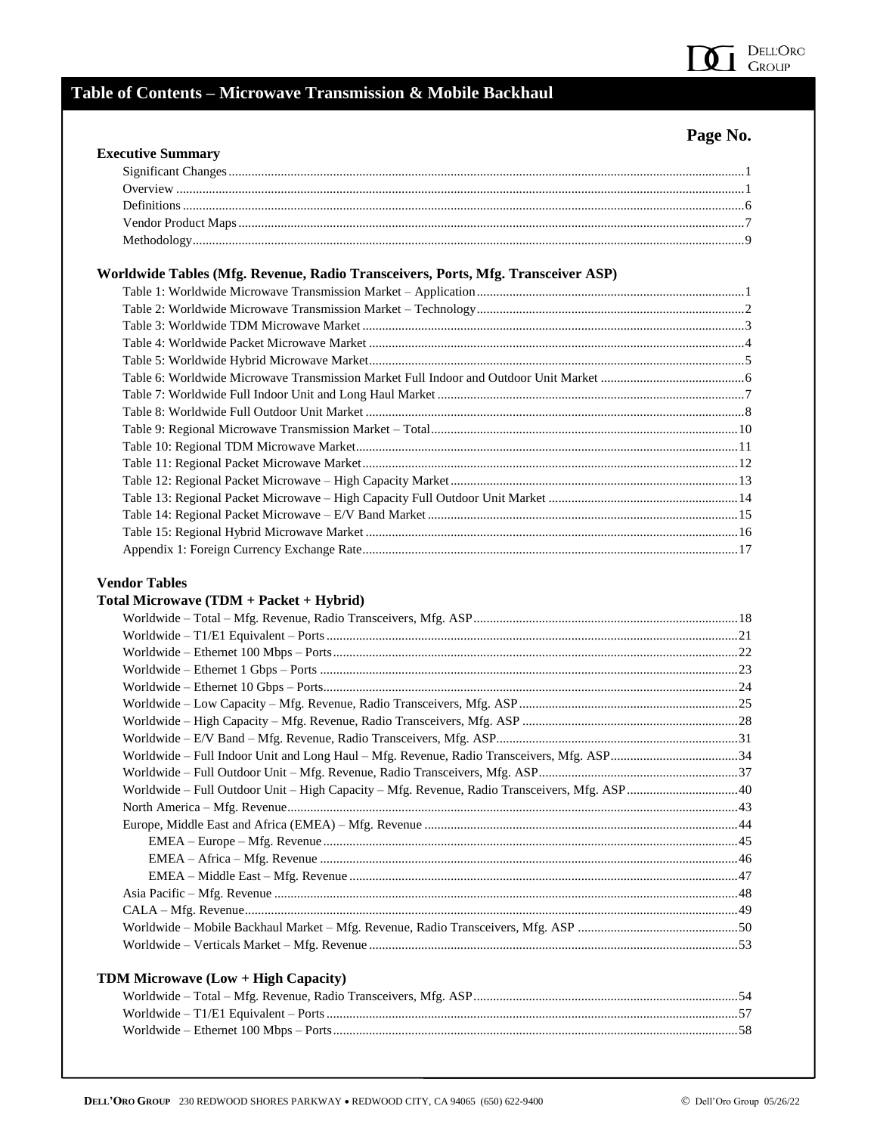

## Table of Contents - Microwave Transmission & Mobile Backhaul

## Page No.

| Worldwide Tables (Mfg. Revenue, Radio Transceivers, Ports, Mfg. Transceiver ASP)              |  |
|-----------------------------------------------------------------------------------------------|--|
|                                                                                               |  |
|                                                                                               |  |
|                                                                                               |  |
|                                                                                               |  |
|                                                                                               |  |
|                                                                                               |  |
|                                                                                               |  |
|                                                                                               |  |
|                                                                                               |  |
|                                                                                               |  |
|                                                                                               |  |
|                                                                                               |  |
|                                                                                               |  |
|                                                                                               |  |
|                                                                                               |  |
|                                                                                               |  |
|                                                                                               |  |
|                                                                                               |  |
|                                                                                               |  |
|                                                                                               |  |
|                                                                                               |  |
|                                                                                               |  |
|                                                                                               |  |
|                                                                                               |  |
|                                                                                               |  |
|                                                                                               |  |
|                                                                                               |  |
| Worldwide - Full Outdoor Unit - High Capacity - Mfg. Revenue, Radio Transceivers, Mfg. ASP 40 |  |
|                                                                                               |  |
|                                                                                               |  |
|                                                                                               |  |
|                                                                                               |  |
|                                                                                               |  |
|                                                                                               |  |
|                                                                                               |  |
|                                                                                               |  |
|                                                                                               |  |
|                                                                                               |  |
| TDM Microwave (Low + High Capacity)                                                           |  |
|                                                                                               |  |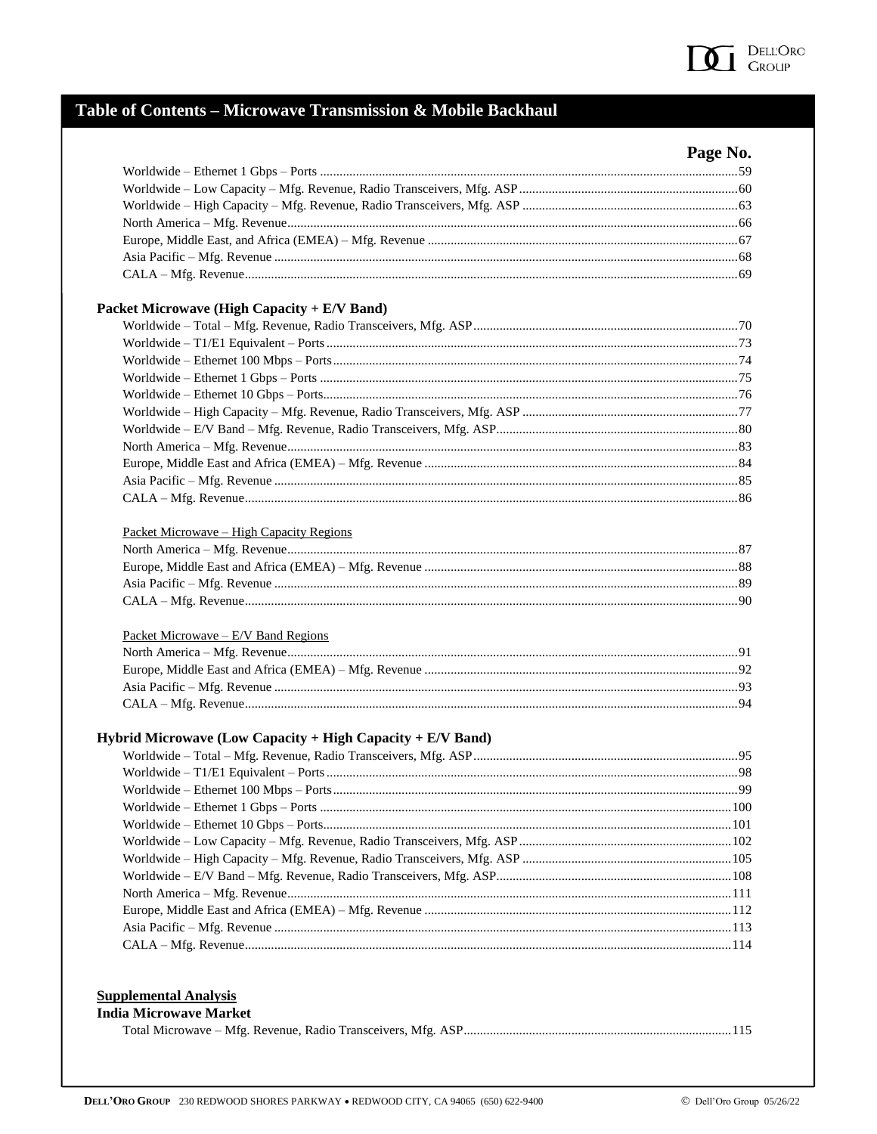

# Table of Contents - Microwave Transmission & Mobile Backhaul

|                                                              | Page No. |
|--------------------------------------------------------------|----------|
|                                                              |          |
|                                                              |          |
|                                                              |          |
|                                                              |          |
|                                                              |          |
|                                                              |          |
|                                                              |          |
| Packet Microwave (High Capacity + E/V Band)                  |          |
|                                                              |          |
|                                                              |          |
|                                                              |          |
|                                                              |          |
|                                                              |          |
|                                                              |          |
|                                                              |          |
|                                                              |          |
|                                                              |          |
|                                                              |          |
|                                                              |          |
| <u> Packet Microwave – High Capacity Regions</u>             |          |
|                                                              |          |
|                                                              |          |
|                                                              |          |
|                                                              |          |
| Packet Microwave – $E/V$ Band Regions                        |          |
|                                                              |          |
|                                                              |          |
|                                                              |          |
|                                                              |          |
|                                                              |          |
| Hybrid Microwave (Low Capacity + High Capacity + $E/V$ Band) |          |
|                                                              |          |
|                                                              |          |
|                                                              |          |
|                                                              |          |
|                                                              |          |
|                                                              |          |
|                                                              |          |
|                                                              |          |
|                                                              |          |
|                                                              |          |
|                                                              |          |

#### **Supplemental Analysis India Microwave Market**

|--|--|